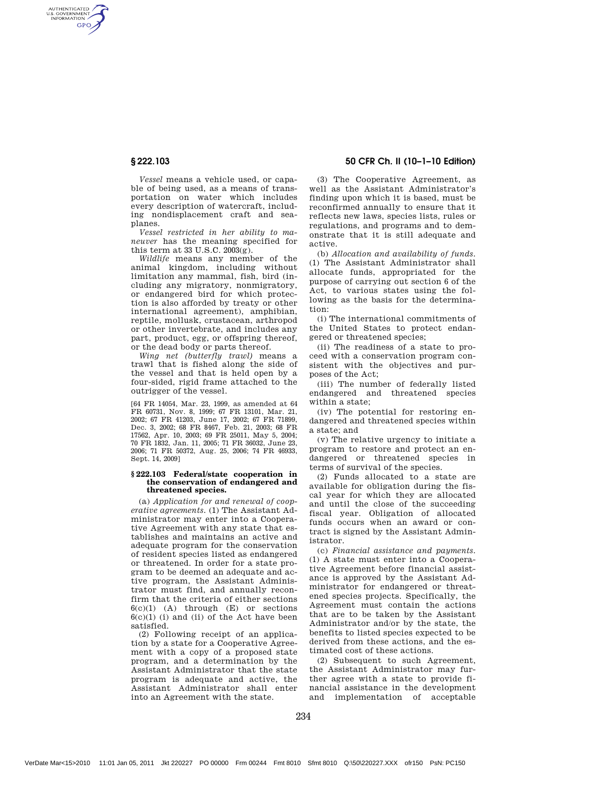AUTHENTICATED<br>U.S. GOVERNMENT<br>INFORMATION **GPO** 

> *Vessel* means a vehicle used, or capable of being used, as a means of transportation on water which includes every description of watercraft, including nondisplacement craft and seaplanes.

*Vessel restricted in her ability to maneuver* has the meaning specified for this term at 33 U.S.C. 2003(g).

*Wildlife* means any member of the animal kingdom, including without limitation any mammal, fish, bird (including any migratory, nonmigratory, or endangered bird for which protection is also afforded by treaty or other international agreement), amphibian, reptile, mollusk, crustacean, arthropod or other invertebrate, and includes any part, product, egg, or offspring thereof, or the dead body or parts thereof.

*Wing net (butterfly trawl)* means a trawl that is fished along the side of the vessel and that is held open by a four-sided, rigid frame attached to the outrigger of the vessel.

[64 FR 14054, Mar. 23, 1999, as amended at 64 FR 60731, Nov. 8, 1999; 67 FR 13101, Mar. 21, 2002; 67 FR 41203, June 17, 2002; 67 FR 71899, Dec. 3, 2002; 68 FR 8467, Feb. 21, 2003; 68 FR 17562, Apr. 10, 2003; 69 FR 25011, May 5, 2004; 70 FR 1832, Jan. 11, 2005; 71 FR 36032, June 23, 2006; 71 FR 50372, Aug. 25, 2006; 74 FR 46933, Sept. 14, 2009]

#### **§ 222.103 Federal/state cooperation in the conservation of endangered and threatened species.**

(a) *Application for and renewal of cooperative agreements.* (1) The Assistant Administrator may enter into a Cooperative Agreement with any state that establishes and maintains an active and adequate program for the conservation of resident species listed as endangered or threatened. In order for a state program to be deemed an adequate and active program, the Assistant Administrator must find, and annually reconfirm that the criteria of either sections  $6(c)(1)$  (A) through (E) or sections  $6(c)(1)$  (i) and (ii) of the Act have been satisfied.

(2) Following receipt of an application by a state for a Cooperative Agreement with a copy of a proposed state program, and a determination by the Assistant Administrator that the state program is adequate and active, the Assistant Administrator shall enter into an Agreement with the state.

§ 222.103 50 CFR Ch. II (10–1–10 Edition)

(3) The Cooperative Agreement, as well as the Assistant Administrator's finding upon which it is based, must be reconfirmed annually to ensure that it reflects new laws, species lists, rules or regulations, and programs and to demonstrate that it is still adequate and active.

(b) *Allocation and availability of funds.* (1) The Assistant Administrator shall allocate funds, appropriated for the purpose of carrying out section 6 of the Act, to various states using the following as the basis for the determination:

(i) The international commitments of the United States to protect endangered or threatened species;

(ii) The readiness of a state to proceed with a conservation program consistent with the objectives and purposes of the Act;

(iii) The number of federally listed endangered and threatened species within a state;

(iv) The potential for restoring endangered and threatened species within a state; and

(v) The relative urgency to initiate a program to restore and protect an endangered or threatened species in terms of survival of the species.

(2) Funds allocated to a state are available for obligation during the fiscal year for which they are allocated and until the close of the succeeding fiscal year. Obligation of allocated funds occurs when an award or contract is signed by the Assistant Administrator.

(c) *Financial assistance and payments.* (1) A state must enter into a Cooperative Agreement before financial assistance is approved by the Assistant Administrator for endangered or threatened species projects. Specifically, the Agreement must contain the actions that are to be taken by the Assistant Administrator and/or by the state, the benefits to listed species expected to be derived from these actions, and the estimated cost of these actions.

(2) Subsequent to such Agreement, the Assistant Administrator may further agree with a state to provide financial assistance in the development and implementation of acceptable